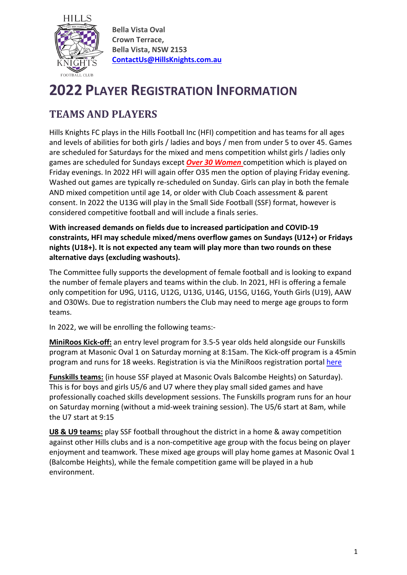

**Bella Vista Oval Crown Terrace, Bella Vista, NSW 2153 [ContactUs@HillsKnights.com.au](mailto:ContactUs@HillsKnights.com.au)**

# **2022 PLAYER REGISTRATION INFORMATION**

# **TEAMS AND PLAYERS**

Hills Knights FC plays in the Hills Football Inc (HFI) competition and has teams for all ages and levels of abilities for both girls / ladies and boys / men from under 5 to over 45. Games are scheduled for Saturdays for the mixed and mens competition whilst girls / ladies only games are scheduled for Sundays except *Over 30 Women* competition which is played on Friday evenings. In 2022 HFI will again offer O35 men the option of playing Friday evening. Washed out games are typically re-scheduled on Sunday. Girls can play in both the female AND mixed competition until age 14, or older with Club Coach assessment & parent consent. In 2022 the U13G will play in the Small Side Football (SSF) format, however is considered competitive football and will include a finals series.

**With increased demands on fields due to increased participation and COVID-19 constraints, HFI may schedule mixed/mens overflow games on Sundays (U12+) or Fridays nights (U18+). It is not expected any team will play more than two rounds on these alternative days (excluding washouts).**

The Committee fully supports the development of female football and is looking to expand the number of female players and teams within the club. In 2021, HFI is offering a female only competition for U9G, U11G, U12G, U13G, U14G, U15G, U16G, Youth Girls (U19), AAW and O30Ws. Due to registration numbers the Club may need to merge age groups to form teams.

In 2022, we will be enrolling the following teams:-

**MiniRoos Kick-off:** an entry level program for 3.5-5 year olds held alongside our Funskills program at Masonic Oval 1 on Saturday morning at 8:15am. The Kick-off program is a 45min program and runs for 18 weeks. Registration is via the MiniRoos registration porta[l here](https://membership.sportstg.com/MapFinder/mapfinder.cgi?r=7&sr=142&type=3&stt=pc&search_value=2153&genders=3)

**Funskills teams:** (in house SSF played at Masonic Ovals Balcombe Heights) on Saturday). This is for boys and girls U5/6 and U7 where they play small sided games and have professionally coached skills development sessions. The Funskills program runs for an hour on Saturday morning (without a mid-week training session). The U5/6 start at 8am, while the U7 start at 9:15

**U8 & U9 teams:** play SSF football throughout the district in a home & away competition against other Hills clubs and is a non-competitive age group with the focus being on player enjoyment and teamwork. These mixed age groups will play home games at Masonic Oval 1 (Balcombe Heights), while the female competition game will be played in a hub environment.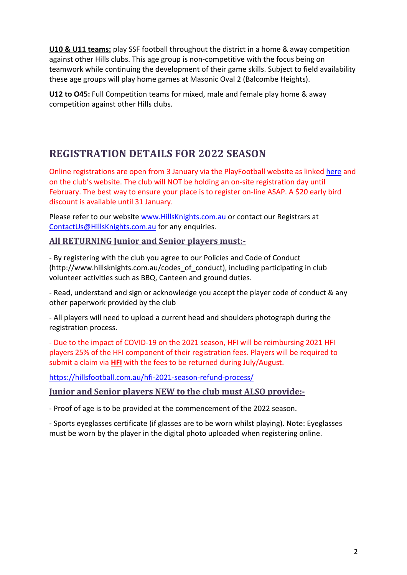**U10 & U11 teams:** play SSF football throughout the district in a home & away competition against other Hills clubs. This age group is non-competitive with the focus being on teamwork while continuing the development of their game skills. Subject to field availability these age groups will play home games at Masonic Oval 2 (Balcombe Heights).

**U12 to O45:** Full Competition teams for mixed, male and female play home & away competition against other Hills clubs.

#### **REGISTRATION DETAILS FOR 2022 SEASON**

Online registrations are open from 3 January via the PlayFootball website as linked [here](https://www.playfootball.com.au/football-finder?st=club&club_name=Hills+Knights+Football+Club+%28Hills+Football%29&clubId=74705#infoModal) and on the club's website. The club will NOT be holding an on-site registration day until February. The best way to ensure your place is to register on-line ASAP. A \$20 early bird discount is available until 31 January.

Please refer to our website www.HillsKnights.com.au or contact our Registrars at [ContactUs@HillsKnights.com.au](mailto:ContactUs@HillsKnights.com.au) for any enquiries.

#### **All RETURNING Junior and Senior players must:-**

- By registering with the club you agree to our Policies and Code of Conduct (http://www.hillsknights.com.au/codes\_of\_conduct), including participating in club volunteer activities such as BBQ, Canteen and ground duties.

- Read, understand and sign or acknowledge you accept the player code of conduct & any other paperwork provided by the club

- All players will need to upload a current head and shoulders photograph during the registration process.

- Due to the impact of COVID-19 on the 2021 season, HFI will be reimbursing 2021 HFI players 25% of the HFI component of their registration fees. Players will be required to submit a claim via **HFI** with the fees to be returned during July/August.

<https://hillsfootball.com.au/hfi-2021-season-refund-process/>

#### **Junior and Senior players NEW to the club must ALSO provide:-**

- Proof of age is to be provided at the commencement of the 2022 season.

- Sports eyeglasses certificate (if glasses are to be worn whilst playing). Note: Eyeglasses must be worn by the player in the digital photo uploaded when registering online.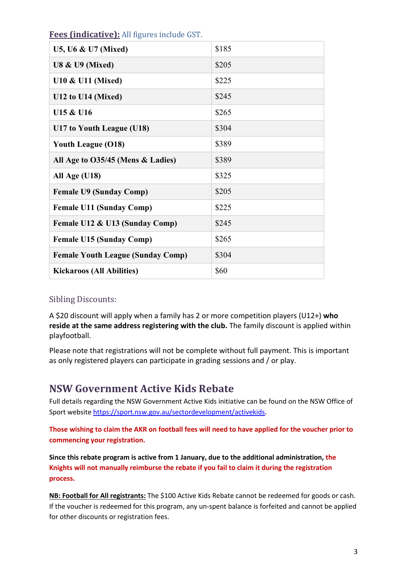| U5, U6 & U7 (Mixed)                      | \$185 |
|------------------------------------------|-------|
| <b>U8 &amp; U9 (Mixed)</b>               | \$205 |
| <b>U10 &amp; U11 (Mixed)</b>             | \$225 |
| U12 to U14 (Mixed)                       | \$245 |
| U15 & U16                                | \$265 |
| U17 to Youth League (U18)                | \$304 |
| <b>Youth League (O18)</b>                | \$389 |
| All Age to O35/45 (Mens & Ladies)        | \$389 |
| All Age (U18)                            | \$325 |
| <b>Female U9 (Sunday Comp)</b>           | \$205 |
| <b>Female U11 (Sunday Comp)</b>          | \$225 |
| Female U12 & U13 (Sunday Comp)           | \$245 |
| <b>Female U15 (Sunday Comp)</b>          | \$265 |
| <b>Female Youth League (Sunday Comp)</b> | \$304 |
| <b>Kickaroos (All Abilities)</b>         | \$60  |

**Fees (indicative):** All figures include GST.

#### Sibling Discounts:

A \$20 discount will apply when a family has 2 or more competition players (U12+) **who reside at the same address registering with the club.** The family discount is applied within playfootball.

Please note that registrations will not be complete without full payment. This is important as only registered players can participate in grading sessions and / or play.

#### **NSW Government Active Kids Rebate**

Full details regarding the NSW Government Active Kids initiative can be found on the NSW Office of Sport website [https://sport.nsw.gov.au/sectordevelopment/activekids.](https://sport.nsw.gov.au/sectordevelopment/activekids)

**Those wishing to claim the AKR on football fees will need to have applied for the voucher prior to commencing your registration.**

**Since this rebate program is active from 1 January, due to the additional administration, the Knights will not manually reimburse the rebate if you fail to claim it during the registration process.**

**NB: Football for All registrants:** The \$100 Active Kids Rebate cannot be redeemed for goods or cash. If the voucher is redeemed for this program, any un-spent balance is forfeited and cannot be applied for other discounts or registration fees.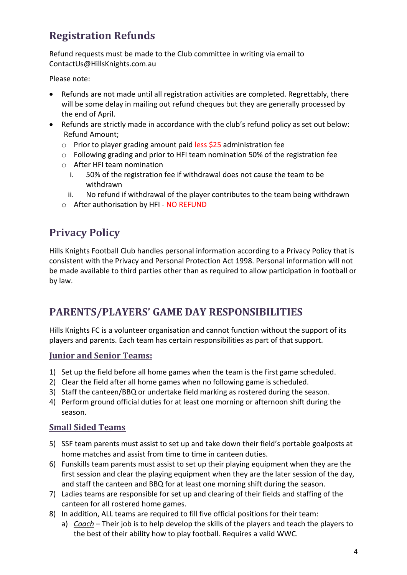# **Registration Refunds**

Refund requests must be made to the Club committee in writing via email to ContactUs@HillsKnights.com.au

Please note:

- Refunds are not made until all registration activities are completed. Regrettably, there will be some delay in mailing out refund cheques but they are generally processed by the end of April.
- Refunds are strictly made in accordance with the club's refund policy as set out below: Refund Amount;
	- o Prior to player grading amount paid less \$25 administration fee
	- o Following grading and prior to HFI team nomination 50% of the registration fee
	- o After HFI team nomination
		- i. 50% of the registration fee if withdrawal does not cause the team to be withdrawn
		- ii. No refund if withdrawal of the player contributes to the team being withdrawn
	- o After authorisation by HFI NO REFUND

### **Privacy Policy**

Hills Knights Football Club handles personal information according to a Privacy Policy that is consistent with the Privacy and Personal Protection Act 1998. Personal information will not be made available to third parties other than as required to allow participation in football or by law.

### **PARENTS/PLAYERS' GAME DAY RESPONSIBILITIES**

Hills Knights FC is a volunteer organisation and cannot function without the support of its players and parents. Each team has certain responsibilities as part of that support.

#### **Junior and Senior Teams:**

- 1) Set up the field before all home games when the team is the first game scheduled.
- 2) Clear the field after all home games when no following game is scheduled.
- 3) Staff the canteen/BBQ or undertake field marking as rostered during the season.
- 4) Perform ground official duties for at least one morning or afternoon shift during the season.

#### **Small Sided Teams**

- 5) SSF team parents must assist to set up and take down their field's portable goalposts at home matches and assist from time to time in canteen duties.
- 6) Funskills team parents must assist to set up their playing equipment when they are the first session and clear the playing equipment when they are the later session of the day, and staff the canteen and BBQ for at least one morning shift during the season.
- 7) Ladies teams are responsible for set up and clearing of their fields and staffing of the canteen for all rostered home games.
- 8) In addition, ALL teams are required to fill five official positions for their team:
	- a) *Coach* Their job is to help develop the skills of the players and teach the players to the best of their ability how to play football. Requires a valid WWC.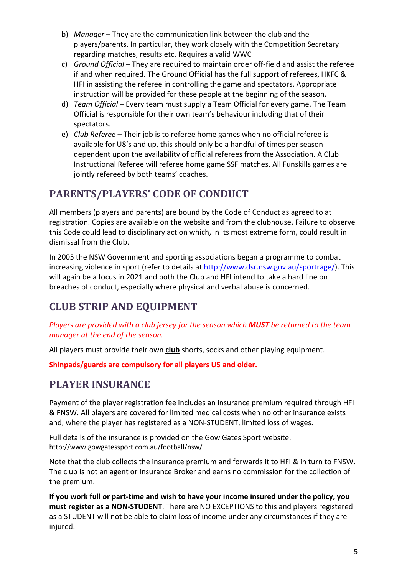- b) *Manager* They are the communication link between the club and the players/parents. In particular, they work closely with the Competition Secretary regarding matches, results etc. Requires a valid WWC
- c) *Ground Official* They are required to maintain order off-field and assist the referee if and when required. The Ground Official has the full support of referees, HKFC & HFI in assisting the referee in controlling the game and spectators. Appropriate instruction will be provided for these people at the beginning of the season.
- d) *Team Official* Every team must supply a Team Official for every game. The Team Official is responsible for their own team's behaviour including that of their spectators.
- e) *Club Referee* Their job is to referee home games when no official referee is available for U8's and up, this should only be a handful of times per season dependent upon the availability of official referees from the Association. A Club Instructional Referee will referee home game SSF matches. All Funskills games are jointly refereed by both teams' coaches.

### **PARENTS/PLAYERS' CODE OF CONDUCT**

All members (players and parents) are bound by the Code of Conduct as agreed to at registration. Copies are available on the website and from the clubhouse. Failure to observe this Code could lead to disciplinary action which, in its most extreme form, could result in dismissal from the Club.

In 2005 the NSW Government and sporting associations began a programme to combat increasing violence in sport (refer to details at http://www.dsr.nsw.gov.au/sportrage/). This will again be a focus in 2021 and both the Club and HFI intend to take a hard line on breaches of conduct, especially where physical and verbal abuse is concerned.

# **CLUB STRIP AND EQUIPMENT**

*Players are provided with a club jersey for the season which MUST be returned to the team manager at the end of the season.*

All players must provide their own **club** shorts, socks and other playing equipment.

**Shinpads/guards are compulsory for all players U5 and older.**

### **PLAYER INSURANCE**

Payment of the player registration fee includes an insurance premium required through HFI & FNSW. All players are covered for limited medical costs when no other insurance exists and, where the player has registered as a NON-STUDENT, limited loss of wages.

Full details of the insurance is provided on the Gow Gates Sport website. http://www.gowgatessport.com.au/football/nsw/

Note that the club collects the insurance premium and forwards it to HFI & in turn to FNSW. The club is not an agent or Insurance Broker and earns no commission for the collection of the premium.

**If you work full or part-time and wish to have your income insured under the policy, you must register as a NON-STUDENT**. There are NO EXCEPTIONS to this and players registered as a STUDENT will not be able to claim loss of income under any circumstances if they are injured.